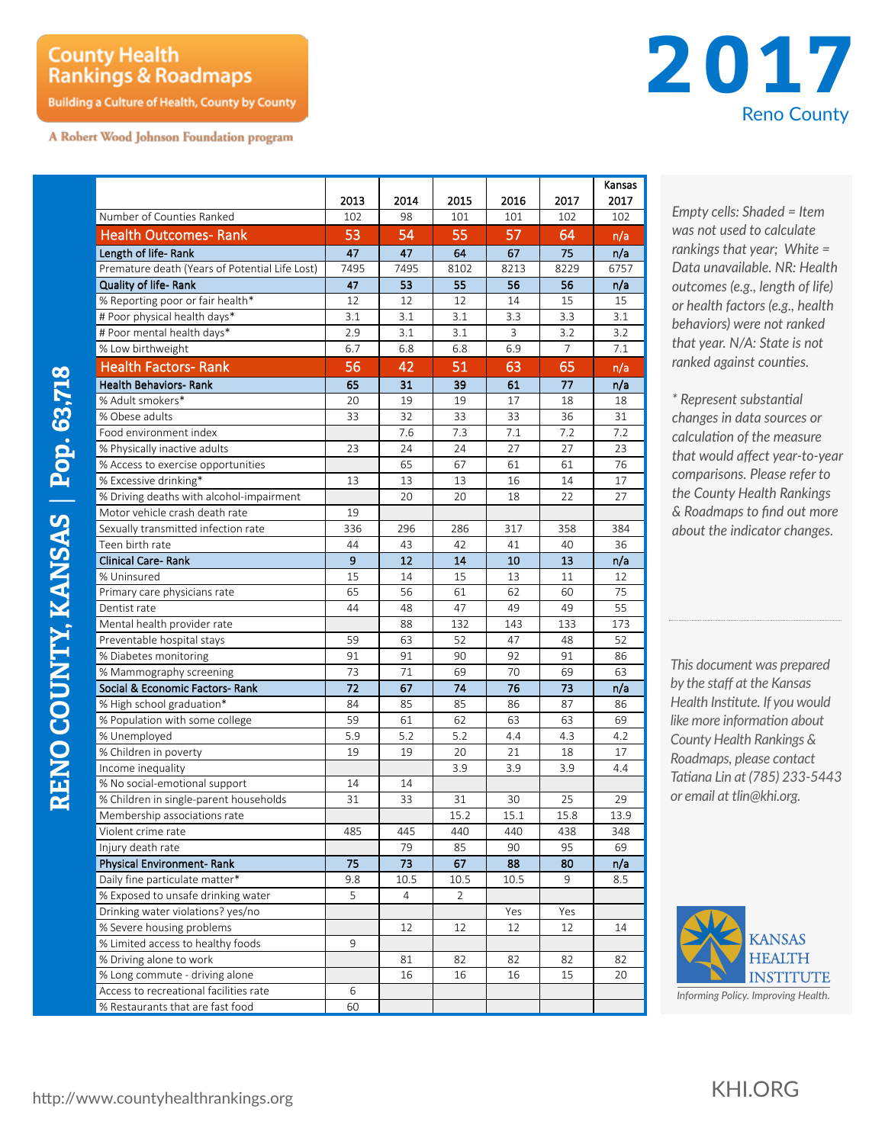## **County Health Rankings & Roadmaps**

**Building a Culture of Health, County by County** 

A Robert Wood Johnson Foundation program



|                                                                       |           |          |                |           |            | Kansas      |
|-----------------------------------------------------------------------|-----------|----------|----------------|-----------|------------|-------------|
| Number of Counties Ranked                                             | 2013      | 2014     | 2015           | 2016      | 2017       | 2017<br>102 |
|                                                                       | 102<br>53 | 98<br>54 | 101<br>55      | 101<br>57 | 102<br>64  |             |
| <b>Health Outcomes- Rank</b>                                          |           |          |                |           |            | n/a         |
| Length of life-Rank<br>Premature death (Years of Potential Life Lost) | 47        | 47       | 64<br>8102     | 67        | 75<br>8229 | n/a         |
|                                                                       | 7495      | 7495     |                | 8213      |            | 6757        |
| Quality of life-Rank                                                  | 47        | 53       | 55             | 56        | 56         | n/a         |
| % Reporting poor or fair health*                                      | 12        | 12       | 12             | 14        | 15         | 15          |
| # Poor physical health days*                                          | 3.1       | 3.1      | 3.1            | 3.3       | 3.3        | 3.1         |
| # Poor mental health days*                                            | 2.9       | 3.1      | 3.1            | 3         | 3.2        | 3.2         |
| % Low birthweight                                                     | 6.7       | 6.8      | 6.8            | 6.9       | 7          | 7.1         |
| <b>Health Factors- Rank</b>                                           | 56        | 42       | 51             | 63        | 65         | n/a         |
| Health Behaviors- Rank                                                | 65        | 31       | 39             | 61        | 77         | n/a         |
| % Adult smokers*                                                      | 20        | 19       | 19             | 17        | 18         | 18          |
| % Obese adults                                                        | 33        | 32       | 33             | 33        | 36         | 31          |
| Food environment index                                                |           | 7.6      | 7.3            | 7.1       | 7.2        | 7.2         |
| % Physically inactive adults                                          | 23        | 24       | 24             | 27        | 27         | 23          |
| % Access to exercise opportunities                                    |           | 65       | 67             | 61        | 61         | 76          |
| % Excessive drinking*                                                 | 13        | 13       | 13             | 16        | 14         | 17          |
| % Driving deaths with alcohol-impairment                              |           | 20       | 20             | 18        | 22         | 27          |
| Motor vehicle crash death rate                                        | 19        |          |                |           |            |             |
| Sexually transmitted infection rate                                   | 336       | 296      | 286            | 317       | 358        | 384         |
| Teen birth rate                                                       | 44        | 43       | 42             | 41        | 40         | 36          |
| <b>Clinical Care-Rank</b>                                             | 9         | 12       | 14             | 10        | 13         | n/a         |
| % Uninsured                                                           | 15        | 14       | 15             | 13        | 11         | 12          |
| Primary care physicians rate                                          | 65        | 56       | 61             | 62        | 60         | 75          |
| Dentist rate                                                          | 44        | 48       | 47             | 49        | 49         | 55          |
| Mental health provider rate                                           |           | 88       | 132            | 143       | 133        | 173         |
| Preventable hospital stays                                            | 59        | 63       | 52             | 47        | 48         | 52          |
| % Diabetes monitoring                                                 | 91        | 91       | 90             | 92        | 91         | 86          |
| % Mammography screening                                               | 73        | 71       | 69             | 70        | 69         | 63          |
| Social & Economic Factors- Rank                                       | 72        | 67       | 74             | 76        | 73         | n/a         |
| % High school graduation*                                             | 84        | 85       | 85             | 86        | 87         | 86          |
| % Population with some college                                        | 59        | 61       | 62             | 63        | 63         | 69          |
| % Unemployed                                                          | 5.9       | 5.2      | 5.2            | 4.4       | 4.3        | 4.2         |
| % Children in poverty                                                 | 19        | 19       | 20             | 21        | 18         | 17          |
| Income inequality                                                     |           |          | 3.9            | 3.9       | 3.9        | 4.4         |
| % No social-emotional support                                         | 14        | 14       |                |           |            |             |
| % Children in single-parent households                                | 31        | 33       | 31             | 30        | 25         | 29          |
| Membership associations rate                                          |           |          | 15.2           | 15.1      | 15.8       | 13.9        |
| Violent crime rate                                                    | 485       | 445      | 440            | 440       | 438        | 348         |
| Injury death rate                                                     |           | 79       | 85             | 90        | 95         | 69          |
| <b>Physical Environment- Rank</b>                                     | 75        | 73       | 67             | 88        | 80         | n/a         |
| Daily fine particulate matter*                                        | 9.8       | 10.5     | 10.5           | 10.5      | 9          | 8.5         |
| % Exposed to unsafe drinking water                                    | 5         | 4        | $\overline{2}$ |           |            |             |
| Drinking water violations? yes/no                                     |           |          |                | Yes       | Yes        |             |
| % Severe housing problems                                             |           | 12       | 12             | 12        | 12         | 14          |
| % Limited access to healthy foods                                     | 9         |          |                |           |            |             |
| % Driving alone to work                                               |           | 81       | 82             | 82        | 82         | 82          |
| % Long commute - driving alone                                        |           | 16       | 16             | 16        | 15         | 20          |
| Access to recreational facilities rate                                | 6         |          |                |           |            |             |
| % Restaurants that are fast food                                      | 60        |          |                |           |            |             |

*Empty cells: Shaded = Item was not used to calculate rankings that year; White = Data unavailable. NR: Health outcomes (e.g., length of life) or health factors (e.g., health behaviors) were not ranked that year. N/A: State is not ranked against counties.* r ase<br>!s the<br>nava<br>!es (e

*\* Represent substantial changes in data sources or calculation of the measure that would affect year-to-year comparisons. Please refer to the County Health Rankings & Roadmaps to find out more about the indicator changes.*

*This document was prepared by the staff at the Kansas Health Institute. If you would like more information about County Health Rankings & Roadmaps, please contact Tatiana Lin at (785) 233-5443 or email at tlin@khi.org.*